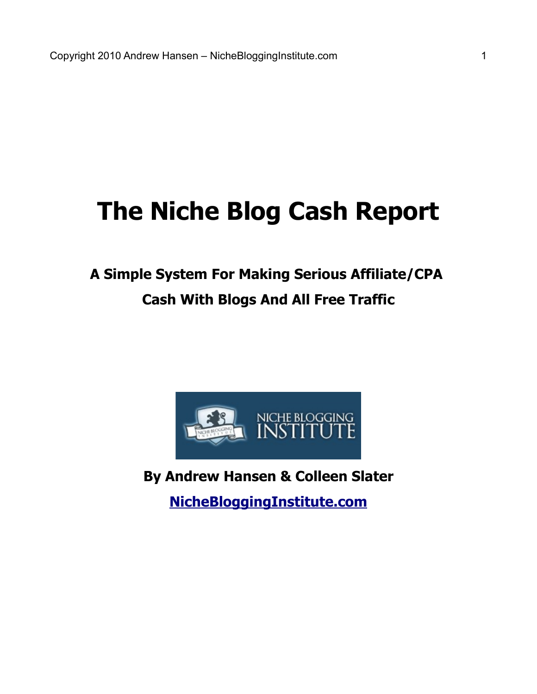# **The Niche Blog Cash Report**

## **A Simple System For Making Serious Affiliate/CPA Cash With Blogs And All Free Traffic**



**By Andrew Hansen & Colleen Slater**

**[NicheBloggingInstitute.com](http://goo.gl/pP6yr)**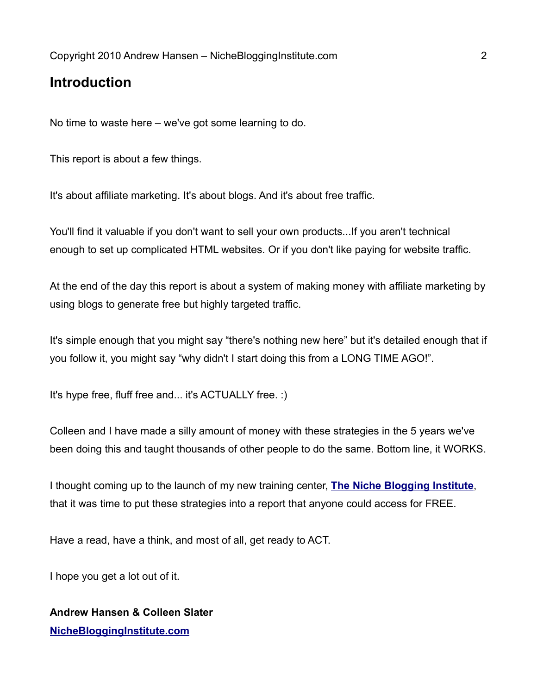## **Introduction**

No time to waste here – we've got some learning to do.

This report is about a few things.

It's about affiliate marketing. It's about blogs. And it's about free traffic.

You'll find it valuable if you don't want to sell your own products...If you aren't technical enough to set up complicated HTML websites. Or if you don't like paying for website traffic.

At the end of the day this report is about a system of making money with affiliate marketing by using blogs to generate free but highly targeted traffic.

It's simple enough that you might say "there's nothing new here" but it's detailed enough that if you follow it, you might say "why didn't I start doing this from a LONG TIME AGO!".

It's hype free, fluff free and... it's ACTUALLY free. :)

Colleen and I have made a silly amount of money with these strategies in the 5 years we've been doing this and taught thousands of other people to do the same. Bottom line, it WORKS.

I thought coming up to the launch of my new training center, **[The Niche Blogging Institute](http://goo.gl/pP6yr)**, that it was time to put these strategies into a report that anyone could access for FREE.

Have a read, have a think, and most of all, get ready to ACT.

I hope you get a lot out of it.

#### **Andrew Hansen & Colleen Slater [NicheBloggingInstitute.com](http://goo.gl/pP6yr)**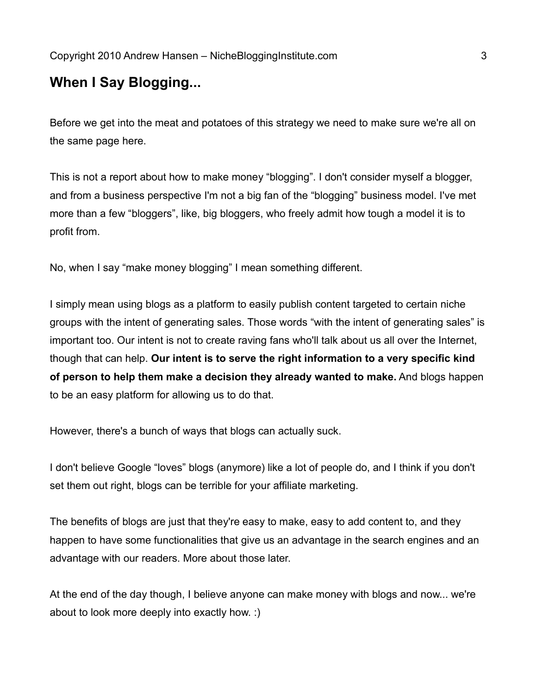## **When I Say Blogging...**

Before we get into the meat and potatoes of this strategy we need to make sure we're all on the same page here.

This is not a report about how to make money "blogging". I don't consider myself a blogger, and from a business perspective I'm not a big fan of the "blogging" business model. I've met more than a few "bloggers", like, big bloggers, who freely admit how tough a model it is to profit from.

No, when I say "make money blogging" I mean something different.

I simply mean using blogs as a platform to easily publish content targeted to certain niche groups with the intent of generating sales. Those words "with the intent of generating sales" is important too. Our intent is not to create raving fans who'll talk about us all over the Internet, though that can help. **Our intent is to serve the right information to a very specific kind of person to help them make a decision they already wanted to make.** And blogs happen to be an easy platform for allowing us to do that.

However, there's a bunch of ways that blogs can actually suck.

I don't believe Google "loves" blogs (anymore) like a lot of people do, and I think if you don't set them out right, blogs can be terrible for your affiliate marketing.

The benefits of blogs are just that they're easy to make, easy to add content to, and they happen to have some functionalities that give us an advantage in the search engines and an advantage with our readers. More about those later.

At the end of the day though, I believe anyone can make money with blogs and now... we're about to look more deeply into exactly how. :)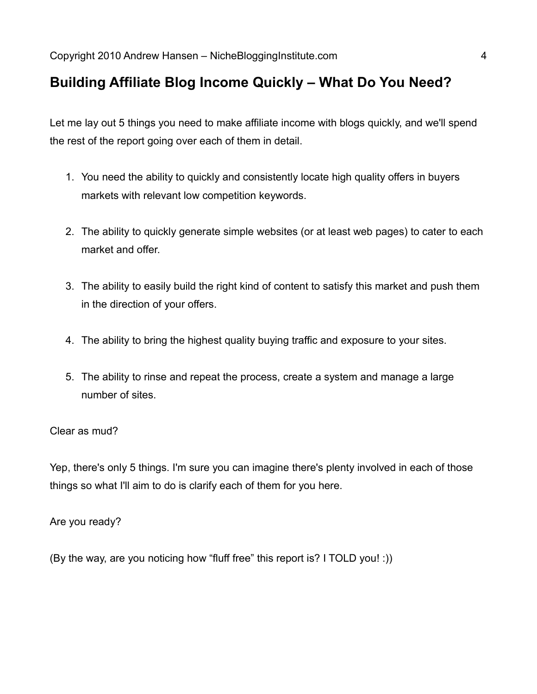## **Building Affiliate Blog Income Quickly – What Do You Need?**

Let me lay out 5 things you need to make affiliate income with blogs quickly, and we'll spend the rest of the report going over each of them in detail.

- 1. You need the ability to quickly and consistently locate high quality offers in buyers markets with relevant low competition keywords.
- 2. The ability to quickly generate simple websites (or at least web pages) to cater to each market and offer.
- 3. The ability to easily build the right kind of content to satisfy this market and push them in the direction of your offers.
- 4. The ability to bring the highest quality buying traffic and exposure to your sites.
- 5. The ability to rinse and repeat the process, create a system and manage a large number of sites.

#### Clear as mud?

Yep, there's only 5 things. I'm sure you can imagine there's plenty involved in each of those things so what I'll aim to do is clarify each of them for you here.

Are you ready?

(By the way, are you noticing how "fluff free" this report is? I TOLD you! :))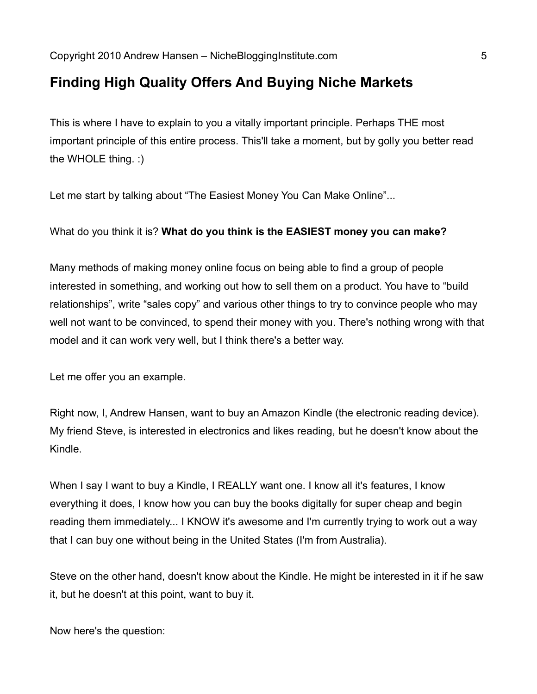## **Finding High Quality Offers And Buying Niche Markets**

This is where I have to explain to you a vitally important principle. Perhaps THE most important principle of this entire process. This'll take a moment, but by golly you better read the WHOLE thing. :)

Let me start by talking about "The Easiest Money You Can Make Online"...

What do you think it is? **What do you think is the EASIEST money you can make?**

Many methods of making money online focus on being able to find a group of people interested in something, and working out how to sell them on a product. You have to "build relationships", write "sales copy" and various other things to try to convince people who may well not want to be convinced, to spend their money with you. There's nothing wrong with that model and it can work very well, but I think there's a better way.

Let me offer you an example.

Right now, I, Andrew Hansen, want to buy an Amazon Kindle (the electronic reading device). My friend Steve, is interested in electronics and likes reading, but he doesn't know about the Kindle.

When I say I want to buy a Kindle, I REALLY want one. I know all it's features, I know everything it does, I know how you can buy the books digitally for super cheap and begin reading them immediately... I KNOW it's awesome and I'm currently trying to work out a way that I can buy one without being in the United States (I'm from Australia).

Steve on the other hand, doesn't know about the Kindle. He might be interested in it if he saw it, but he doesn't at this point, want to buy it.

Now here's the question: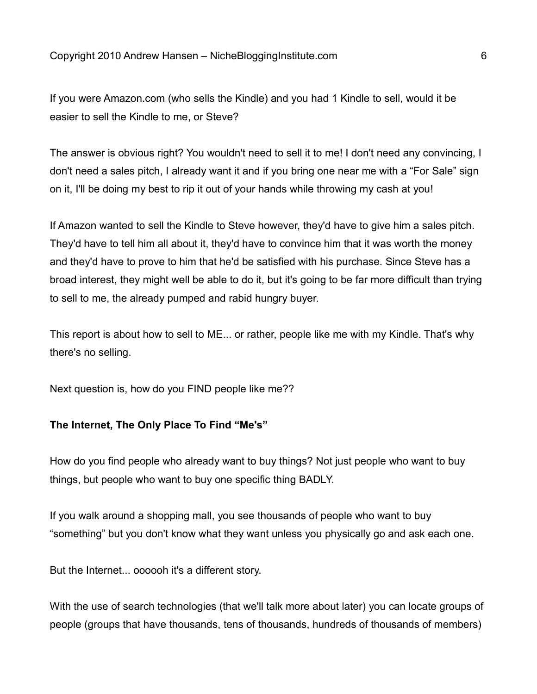If you were Amazon.com (who sells the Kindle) and you had 1 Kindle to sell, would it be easier to sell the Kindle to me, or Steve?

The answer is obvious right? You wouldn't need to sell it to me! I don't need any convincing, I don't need a sales pitch, I already want it and if you bring one near me with a "For Sale" sign on it, I'll be doing my best to rip it out of your hands while throwing my cash at you!

If Amazon wanted to sell the Kindle to Steve however, they'd have to give him a sales pitch. They'd have to tell him all about it, they'd have to convince him that it was worth the money and they'd have to prove to him that he'd be satisfied with his purchase. Since Steve has a broad interest, they might well be able to do it, but it's going to be far more difficult than trying to sell to me, the already pumped and rabid hungry buyer.

This report is about how to sell to ME... or rather, people like me with my Kindle. That's why there's no selling.

Next question is, how do you FIND people like me??

#### **The Internet, The Only Place To Find "Me's"**

How do you find people who already want to buy things? Not just people who want to buy things, but people who want to buy one specific thing BADLY.

If you walk around a shopping mall, you see thousands of people who want to buy "something" but you don't know what they want unless you physically go and ask each one.

But the Internet... oooooh it's a different story.

With the use of search technologies (that we'll talk more about later) you can locate groups of people (groups that have thousands, tens of thousands, hundreds of thousands of members)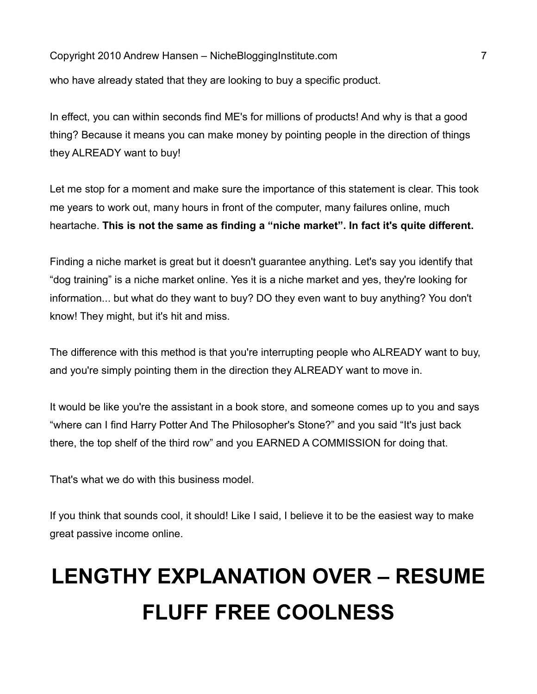Copyright 2010 Andrew Hansen – NicheBloggingInstitute.com 7 who have already stated that they are looking to buy a specific product.

In effect, you can within seconds find ME's for millions of products! And why is that a good thing? Because it means you can make money by pointing people in the direction of things they ALREADY want to buy!

Let me stop for a moment and make sure the importance of this statement is clear. This took me years to work out, many hours in front of the computer, many failures online, much heartache. **This is not the same as finding a "niche market". In fact it's quite different.**

Finding a niche market is great but it doesn't guarantee anything. Let's say you identify that "dog training" is a niche market online. Yes it is a niche market and yes, they're looking for information... but what do they want to buy? DO they even want to buy anything? You don't know! They might, but it's hit and miss.

The difference with this method is that you're interrupting people who ALREADY want to buy, and you're simply pointing them in the direction they ALREADY want to move in.

It would be like you're the assistant in a book store, and someone comes up to you and says "where can I find Harry Potter And The Philosopher's Stone?" and you said "It's just back there, the top shelf of the third row" and you EARNED A COMMISSION for doing that.

That's what we do with this business model.

If you think that sounds cool, it should! Like I said, I believe it to be the easiest way to make great passive income online.

# **LENGTHY EXPLANATION OVER – RESUME FLUFF FREE COOLNESS**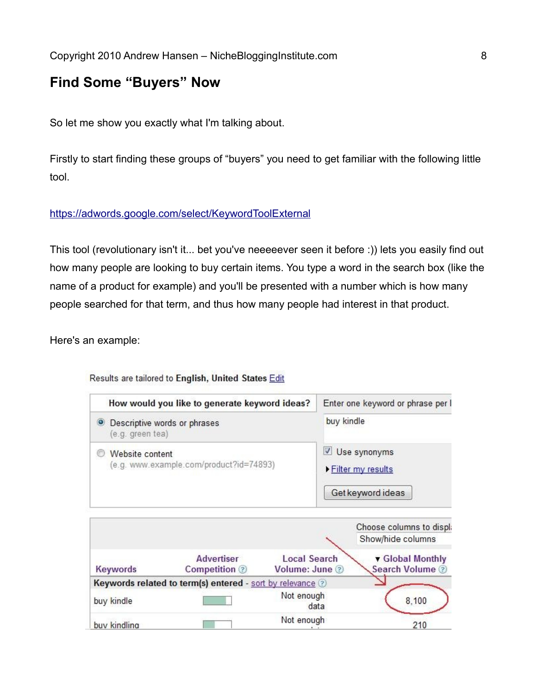## **Find Some "Buyers" Now**

So let me show you exactly what I'm talking about.

Firstly to start finding these groups of "buyers" you need to get familiar with the following little tool.

#### <https://adwords.google.com/select/KeywordToolExternal>

This tool (revolutionary isn't it... bet you've neeeeever seen it before :)) lets you easily find out how many people are looking to buy certain items. You type a word in the search box (like the name of a product for example) and you'll be presented with a number which is how many people searched for that term, and thus how many people had interest in that product.

Here's an example:

#### Results are tailored to English, United States Edit

| How would you like to generate keyword ideas?              | Enter one keyword or phrase per I                        |  |
|------------------------------------------------------------|----------------------------------------------------------|--|
| • Descriptive words or phrases<br>(e.g. green tea)         | buy kindle                                               |  |
| Website content<br>(e.g. www.example.com/product?id=74893) | Use synonyms<br>▶ Filter my results<br>Get keyword ideas |  |

|              |                                                           |                                       | Choose columns to displa          |
|--------------|-----------------------------------------------------------|---------------------------------------|-----------------------------------|
|              |                                                           |                                       | Show/hide columns                 |
| Keywords     | <b>Advertiser</b><br>Competition 2                        | <b>Local Search</b><br>Volume: June 2 | Global Monthly<br>Search Volume 2 |
|              | Keywords related to term(s) entered - sort by relevance 2 |                                       |                                   |
| buy kindle   |                                                           | Not enough<br>data                    | 8,100                             |
| buv kindling |                                                           | Not enough                            | 210                               |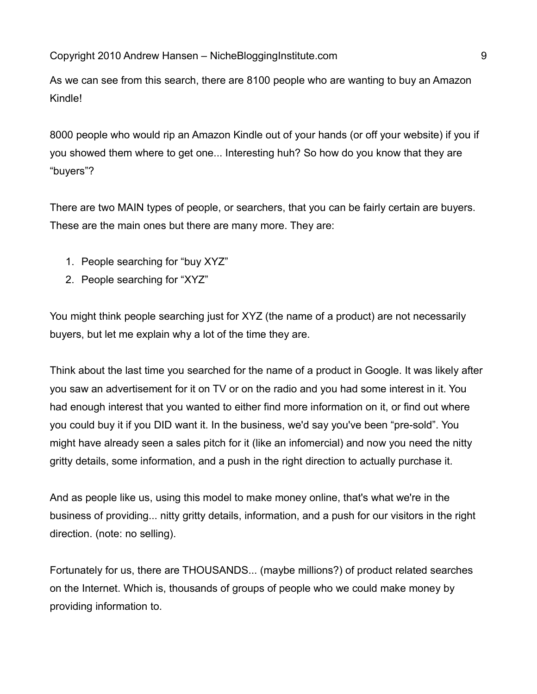As we can see from this search, there are 8100 people who are wanting to buy an Amazon Kindle!

8000 people who would rip an Amazon Kindle out of your hands (or off your website) if you if you showed them where to get one... Interesting huh? So how do you know that they are "buyers"?

There are two MAIN types of people, or searchers, that you can be fairly certain are buyers. These are the main ones but there are many more. They are:

- 1. People searching for "buy XYZ"
- 2. People searching for "XYZ"

You might think people searching just for XYZ (the name of a product) are not necessarily buyers, but let me explain why a lot of the time they are.

Think about the last time you searched for the name of a product in Google. It was likely after you saw an advertisement for it on TV or on the radio and you had some interest in it. You had enough interest that you wanted to either find more information on it, or find out where you could buy it if you DID want it. In the business, we'd say you've been "pre-sold". You might have already seen a sales pitch for it (like an infomercial) and now you need the nitty gritty details, some information, and a push in the right direction to actually purchase it.

And as people like us, using this model to make money online, that's what we're in the business of providing... nitty gritty details, information, and a push for our visitors in the right direction. (note: no selling).

Fortunately for us, there are THOUSANDS... (maybe millions?) of product related searches on the Internet. Which is, thousands of groups of people who we could make money by providing information to.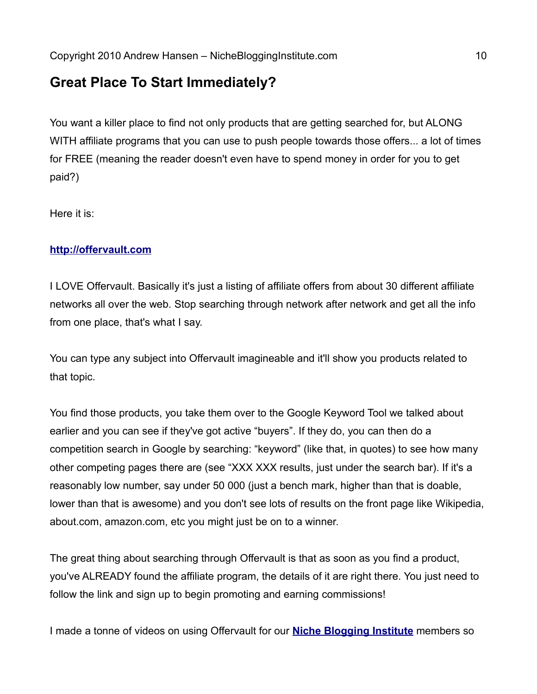## **Great Place To Start Immediately?**

You want a killer place to find not only products that are getting searched for, but ALONG WITH affiliate programs that you can use to push people towards those offers... a lot of times for FREE (meaning the reader doesn't even have to spend money in order for you to get paid?)

Here it is:

#### **[http://offervault.com](http://offervault.com/)**

I LOVE Offervault. Basically it's just a listing of affiliate offers from about 30 different affiliate networks all over the web. Stop searching through network after network and get all the info from one place, that's what I say.

You can type any subject into Offervault imagineable and it'll show you products related to that topic.

You find those products, you take them over to the Google Keyword Tool we talked about earlier and you can see if they've got active "buyers". If they do, you can then do a competition search in Google by searching: "keyword" (like that, in quotes) to see how many other competing pages there are (see "XXX XXX results, just under the search bar). If it's a reasonably low number, say under 50 000 (just a bench mark, higher than that is doable, lower than that is awesome) and you don't see lots of results on the front page like Wikipedia, about.com, amazon.com, etc you might just be on to a winner.

The great thing about searching through Offervault is that as soon as you find a product, you've ALREADY found the affiliate program, the details of it are right there. You just need to follow the link and sign up to begin promoting and earning commissions!

I made a tonne of videos on using Offervault for our **[Niche Blogging Institute](http://goo.gl/pP6yr)** members so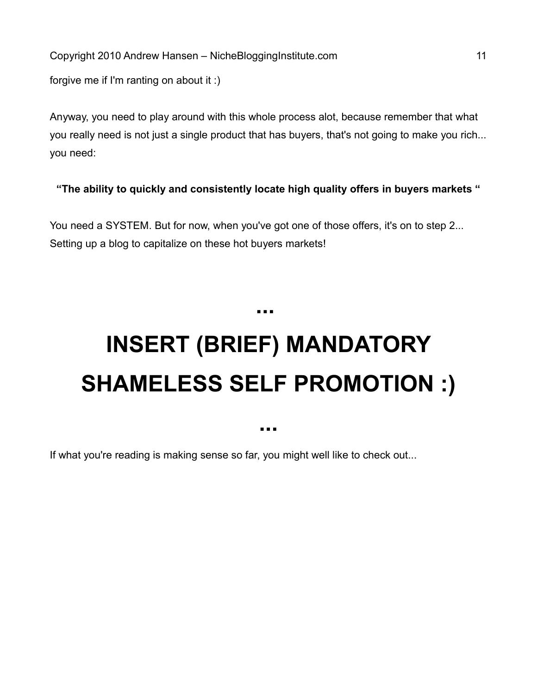forgive me if I'm ranting on about it :)

Anyway, you need to play around with this whole process alot, because remember that what you really need is not just a single product that has buyers, that's not going to make you rich... you need:

**"The ability to quickly and consistently locate high quality offers in buyers markets "**

You need a SYSTEM. But for now, when you've got one of those offers, it's on to step 2... Setting up a blog to capitalize on these hot buyers markets!

# **INSERT (BRIEF) MANDATORY SHAMELESS SELF PROMOTION :)**

**...** 

**...**

If what you're reading is making sense so far, you might well like to check out...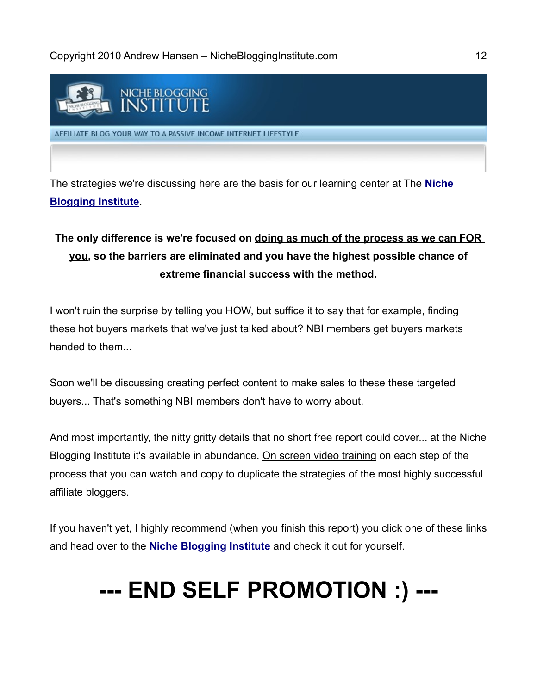

The strategies we're discussing here are the basis for our learning center at The **[Niche](http://goo.gl/pP6yr) [Blogging Institute](http://goo.gl/pP6yr)**.

## **The only difference is we're focused on doing as much of the process as we can FOR you, so the barriers are eliminated and you have the highest possible chance of extreme financial success with the method.**

I won't ruin the surprise by telling you HOW, but suffice it to say that for example, finding these hot buyers markets that we've just talked about? NBI members get buyers markets handed to them.

Soon we'll be discussing creating perfect content to make sales to these these targeted buyers... That's something NBI members don't have to worry about.

And most importantly, the nitty gritty details that no short free report could cover... at the Niche Blogging Institute it's available in abundance. On screen video training on each step of the process that you can watch and copy to duplicate the strategies of the most highly successful affiliate bloggers.

If you haven't yet, I highly recommend (when you finish this report) you click one of these links and head over to the **[Niche Blogging Institute](http://goo.gl/pP6yr)** and check it out for yourself.

# **--- END SELF PROMOTION :) ---**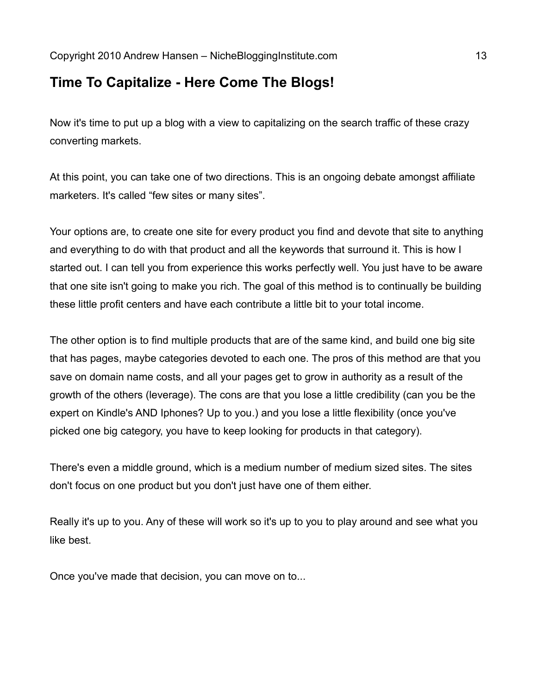## **Time To Capitalize - Here Come The Blogs!**

Now it's time to put up a blog with a view to capitalizing on the search traffic of these crazy converting markets.

At this point, you can take one of two directions. This is an ongoing debate amongst affiliate marketers. It's called "few sites or many sites".

Your options are, to create one site for every product you find and devote that site to anything and everything to do with that product and all the keywords that surround it. This is how I started out. I can tell you from experience this works perfectly well. You just have to be aware that one site isn't going to make you rich. The goal of this method is to continually be building these little profit centers and have each contribute a little bit to your total income.

The other option is to find multiple products that are of the same kind, and build one big site that has pages, maybe categories devoted to each one. The pros of this method are that you save on domain name costs, and all your pages get to grow in authority as a result of the growth of the others (leverage). The cons are that you lose a little credibility (can you be the expert on Kindle's AND Iphones? Up to you.) and you lose a little flexibility (once you've picked one big category, you have to keep looking for products in that category).

There's even a middle ground, which is a medium number of medium sized sites. The sites don't focus on one product but you don't just have one of them either.

Really it's up to you. Any of these will work so it's up to you to play around and see what you like best.

Once you've made that decision, you can move on to...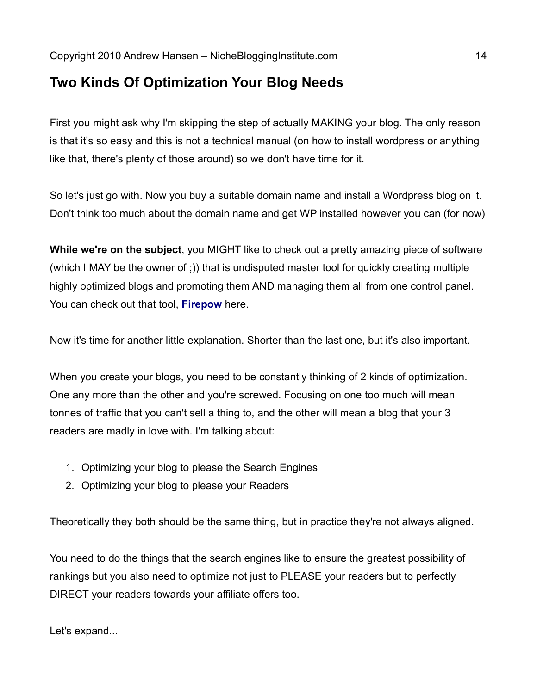## **Two Kinds Of Optimization Your Blog Needs**

First you might ask why I'm skipping the step of actually MAKING your blog. The only reason is that it's so easy and this is not a technical manual (on how to install wordpress or anything like that, there's plenty of those around) so we don't have time for it.

So let's just go with. Now you buy a suitable domain name and install a Wordpress blog on it. Don't think too much about the domain name and get WP installed however you can (for now)

**While we're on the subject**, you MIGHT like to check out a pretty amazing piece of software (which I MAY be the owner of ;)) that is undisputed master tool for quickly creating multiple highly optimized blogs and promoting them AND managing them all from one control panel. You can check out that tool, **[Firepow](http://goo.gl/SuXWG)** here.

Now it's time for another little explanation. Shorter than the last one, but it's also important.

When you create your blogs, you need to be constantly thinking of 2 kinds of optimization. One any more than the other and you're screwed. Focusing on one too much will mean tonnes of traffic that you can't sell a thing to, and the other will mean a blog that your 3 readers are madly in love with. I'm talking about:

- 1. Optimizing your blog to please the Search Engines
- 2. Optimizing your blog to please your Readers

Theoretically they both should be the same thing, but in practice they're not always aligned.

You need to do the things that the search engines like to ensure the greatest possibility of rankings but you also need to optimize not just to PLEASE your readers but to perfectly DIRECT your readers towards your affiliate offers too.

Let's expand...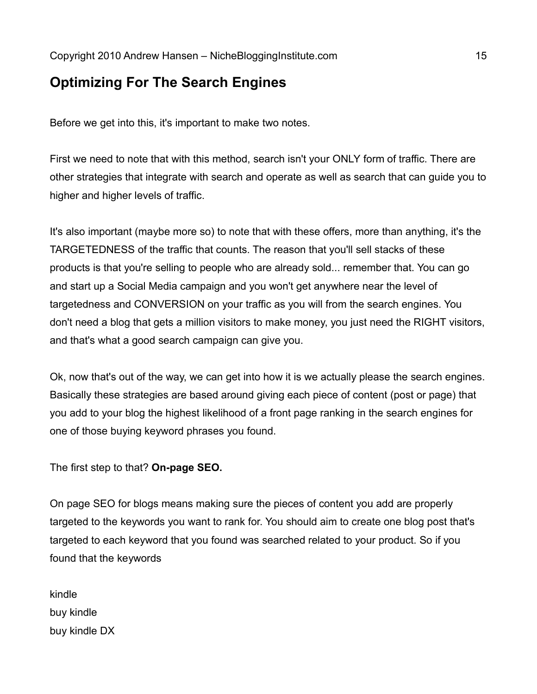## **Optimizing For The Search Engines**

Before we get into this, it's important to make two notes.

First we need to note that with this method, search isn't your ONLY form of traffic. There are other strategies that integrate with search and operate as well as search that can guide you to higher and higher levels of traffic.

It's also important (maybe more so) to note that with these offers, more than anything, it's the TARGETEDNESS of the traffic that counts. The reason that you'll sell stacks of these products is that you're selling to people who are already sold... remember that. You can go and start up a Social Media campaign and you won't get anywhere near the level of targetedness and CONVERSION on your traffic as you will from the search engines. You don't need a blog that gets a million visitors to make money, you just need the RIGHT visitors, and that's what a good search campaign can give you.

Ok, now that's out of the way, we can get into how it is we actually please the search engines. Basically these strategies are based around giving each piece of content (post or page) that you add to your blog the highest likelihood of a front page ranking in the search engines for one of those buying keyword phrases you found.

The first step to that? **On-page SEO.**

On page SEO for blogs means making sure the pieces of content you add are properly targeted to the keywords you want to rank for. You should aim to create one blog post that's targeted to each keyword that you found was searched related to your product. So if you found that the keywords

kindle buy kindle buy kindle DX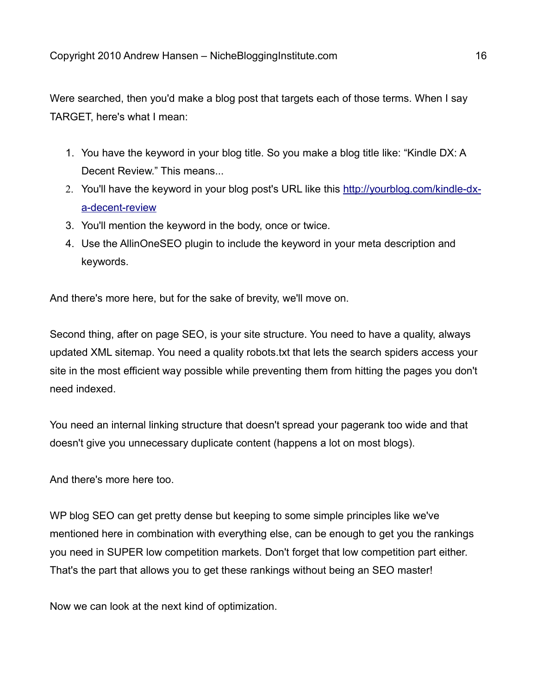Were searched, then you'd make a blog post that targets each of those terms. When I say TARGET, here's what I mean:

- 1. You have the keyword in your blog title. So you make a blog title like: "Kindle DX: A Decent Review." This means...
- 2. You'll have the keyword in your blog post's URL like this [http://yourblog.com/kindle-dx](http://yourblog.com/kindle-dx-a-decent-review)[a-decent-review](http://yourblog.com/kindle-dx-a-decent-review)
- 3. You'll mention the keyword in the body, once or twice.
- 4. Use the AllinOneSEO plugin to include the keyword in your meta description and keywords.

And there's more here, but for the sake of brevity, we'll move on.

Second thing, after on page SEO, is your site structure. You need to have a quality, always updated XML sitemap. You need a quality robots.txt that lets the search spiders access your site in the most efficient way possible while preventing them from hitting the pages you don't need indexed.

You need an internal linking structure that doesn't spread your pagerank too wide and that doesn't give you unnecessary duplicate content (happens a lot on most blogs).

And there's more here too.

WP blog SEO can get pretty dense but keeping to some simple principles like we've mentioned here in combination with everything else, can be enough to get you the rankings you need in SUPER low competition markets. Don't forget that low competition part either. That's the part that allows you to get these rankings without being an SEO master!

Now we can look at the next kind of optimization.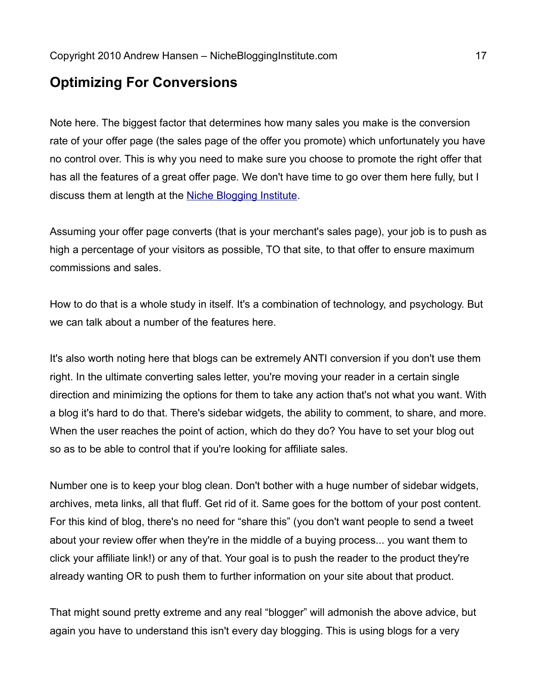## **Optimizing For Conversions**

Note here. The biggest factor that determines how many sales you make is the conversion rate of your offer page (the sales page of the offer you promote) which unfortunately you have no control over. This is why you need to make sure you choose to promote the right offer that has all the features of a great offer page. We don't have time to go over them here fully, but I discuss them at length at the [Niche Blogging Institute.](http://goo.gl/pP6yr)

Assuming your offer page converts (that is your merchant's sales page), your job is to push as high a percentage of your visitors as possible, TO that site, to that offer to ensure maximum commissions and sales.

How to do that is a whole study in itself. It's a combination of technology, and psychology. But we can talk about a number of the features here.

It's also worth noting here that blogs can be extremely ANTI conversion if you don't use them right. In the ultimate converting sales letter, you're moving your reader in a certain single direction and minimizing the options for them to take any action that's not what you want. With a blog it's hard to do that. There's sidebar widgets, the ability to comment, to share, and more. When the user reaches the point of action, which do they do? You have to set your blog out so as to be able to control that if you're looking for affiliate sales.

Number one is to keep your blog clean. Don't bother with a huge number of sidebar widgets, archives, meta links, all that fluff. Get rid of it. Same goes for the bottom of your post content. For this kind of blog, there's no need for "share this" (you don't want people to send a tweet about your review offer when they're in the middle of a buying process... you want them to click your affiliate link!) or any of that. Your goal is to push the reader to the product they're already wanting OR to push them to further information on your site about that product.

That might sound pretty extreme and any real "blogger" will admonish the above advice, but again you have to understand this isn't every day blogging. This is using blogs for a very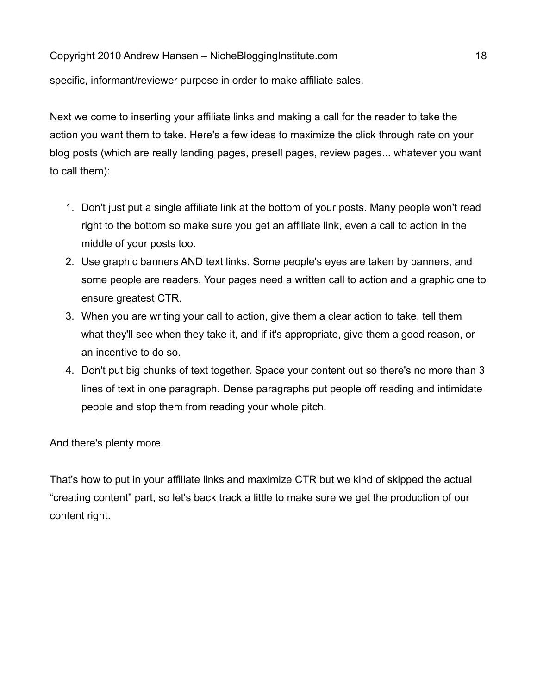specific, informant/reviewer purpose in order to make affiliate sales.

Next we come to inserting your affiliate links and making a call for the reader to take the action you want them to take. Here's a few ideas to maximize the click through rate on your blog posts (which are really landing pages, presell pages, review pages... whatever you want to call them):

- 1. Don't just put a single affiliate link at the bottom of your posts. Many people won't read right to the bottom so make sure you get an affiliate link, even a call to action in the middle of your posts too.
- 2. Use graphic banners AND text links. Some people's eyes are taken by banners, and some people are readers. Your pages need a written call to action and a graphic one to ensure greatest CTR.
- 3. When you are writing your call to action, give them a clear action to take, tell them what they'll see when they take it, and if it's appropriate, give them a good reason, or an incentive to do so.
- 4. Don't put big chunks of text together. Space your content out so there's no more than 3 lines of text in one paragraph. Dense paragraphs put people off reading and intimidate people and stop them from reading your whole pitch.

And there's plenty more.

That's how to put in your affiliate links and maximize CTR but we kind of skipped the actual "creating content" part, so let's back track a little to make sure we get the production of our content right.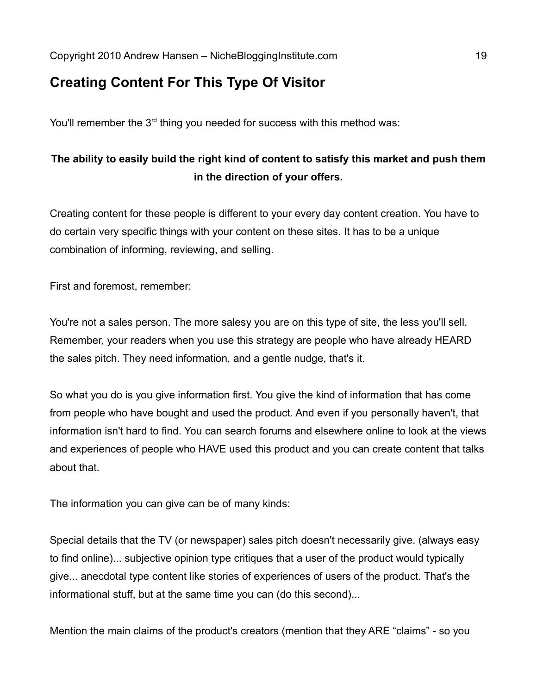## **Creating Content For This Type Of Visitor**

You'll remember the 3<sup>rd</sup> thing you needed for success with this method was:

## **The ability to easily build the right kind of content to satisfy this market and push them in the direction of your offers.**

Creating content for these people is different to your every day content creation. You have to do certain very specific things with your content on these sites. It has to be a unique combination of informing, reviewing, and selling.

First and foremost, remember:

You're not a sales person. The more salesy you are on this type of site, the less you'll sell. Remember, your readers when you use this strategy are people who have already HEARD the sales pitch. They need information, and a gentle nudge, that's it.

So what you do is you give information first. You give the kind of information that has come from people who have bought and used the product. And even if you personally haven't, that information isn't hard to find. You can search forums and elsewhere online to look at the views and experiences of people who HAVE used this product and you can create content that talks about that.

The information you can give can be of many kinds:

Special details that the TV (or newspaper) sales pitch doesn't necessarily give. (always easy to find online)... subjective opinion type critiques that a user of the product would typically give... anecdotal type content like stories of experiences of users of the product. That's the informational stuff, but at the same time you can (do this second)...

Mention the main claims of the product's creators (mention that they ARE "claims" - so you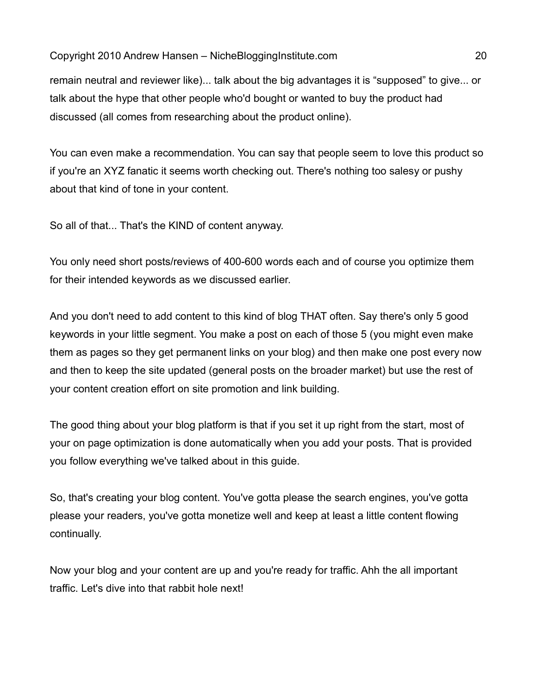remain neutral and reviewer like)... talk about the big advantages it is "supposed" to give... or talk about the hype that other people who'd bought or wanted to buy the product had discussed (all comes from researching about the product online).

You can even make a recommendation. You can say that people seem to love this product so if you're an XYZ fanatic it seems worth checking out. There's nothing too salesy or pushy about that kind of tone in your content.

So all of that... That's the KIND of content anyway.

You only need short posts/reviews of 400-600 words each and of course you optimize them for their intended keywords as we discussed earlier.

And you don't need to add content to this kind of blog THAT often. Say there's only 5 good keywords in your little segment. You make a post on each of those 5 (you might even make them as pages so they get permanent links on your blog) and then make one post every now and then to keep the site updated (general posts on the broader market) but use the rest of your content creation effort on site promotion and link building.

The good thing about your blog platform is that if you set it up right from the start, most of your on page optimization is done automatically when you add your posts. That is provided you follow everything we've talked about in this guide.

So, that's creating your blog content. You've gotta please the search engines, you've gotta please your readers, you've gotta monetize well and keep at least a little content flowing continually.

Now your blog and your content are up and you're ready for traffic. Ahh the all important traffic. Let's dive into that rabbit hole next!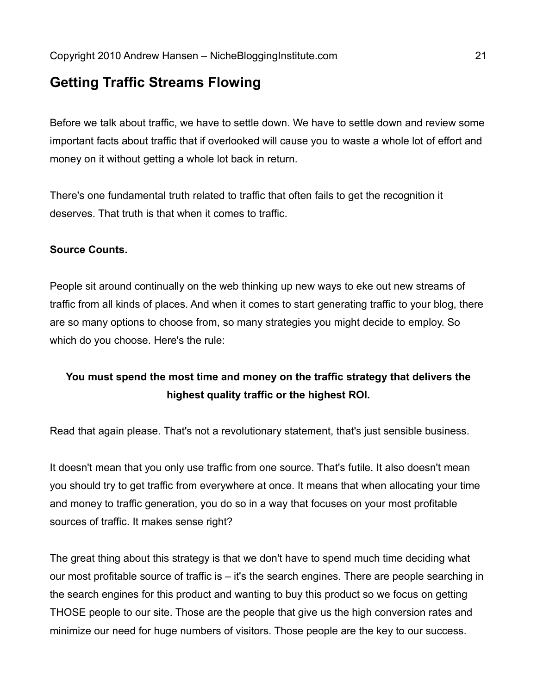## **Getting Traffic Streams Flowing**

Before we talk about traffic, we have to settle down. We have to settle down and review some important facts about traffic that if overlooked will cause you to waste a whole lot of effort and money on it without getting a whole lot back in return.

There's one fundamental truth related to traffic that often fails to get the recognition it deserves. That truth is that when it comes to traffic.

#### **Source Counts.**

People sit around continually on the web thinking up new ways to eke out new streams of traffic from all kinds of places. And when it comes to start generating traffic to your blog, there are so many options to choose from, so many strategies you might decide to employ. So which do you choose. Here's the rule:

#### **You must spend the most time and money on the traffic strategy that delivers the highest quality traffic or the highest ROI.**

Read that again please. That's not a revolutionary statement, that's just sensible business.

It doesn't mean that you only use traffic from one source. That's futile. It also doesn't mean you should try to get traffic from everywhere at once. It means that when allocating your time and money to traffic generation, you do so in a way that focuses on your most profitable sources of traffic. It makes sense right?

The great thing about this strategy is that we don't have to spend much time deciding what our most profitable source of traffic is – it's the search engines. There are people searching in the search engines for this product and wanting to buy this product so we focus on getting THOSE people to our site. Those are the people that give us the high conversion rates and minimize our need for huge numbers of visitors. Those people are the key to our success.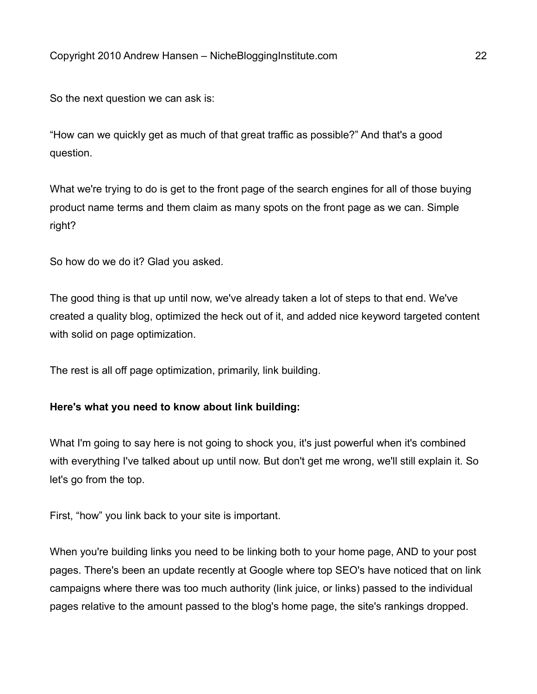So the next question we can ask is:

"How can we quickly get as much of that great traffic as possible?" And that's a good question.

What we're trying to do is get to the front page of the search engines for all of those buying product name terms and them claim as many spots on the front page as we can. Simple right?

So how do we do it? Glad you asked.

The good thing is that up until now, we've already taken a lot of steps to that end. We've created a quality blog, optimized the heck out of it, and added nice keyword targeted content with solid on page optimization.

The rest is all off page optimization, primarily, link building.

#### **Here's what you need to know about link building:**

What I'm going to say here is not going to shock you, it's just powerful when it's combined with everything I've talked about up until now. But don't get me wrong, we'll still explain it. So let's go from the top.

First, "how" you link back to your site is important.

When you're building links you need to be linking both to your home page, AND to your post pages. There's been an update recently at Google where top SEO's have noticed that on link campaigns where there was too much authority (link juice, or links) passed to the individual pages relative to the amount passed to the blog's home page, the site's rankings dropped.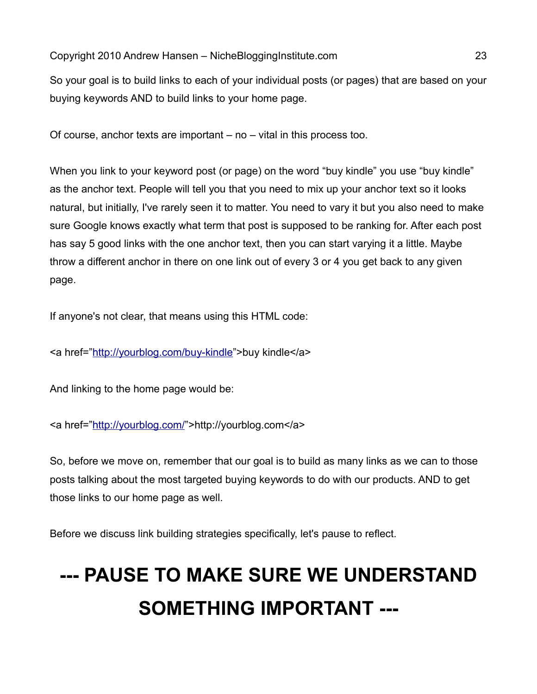So your goal is to build links to each of your individual posts (or pages) that are based on your buying keywords AND to build links to your home page.

Of course, anchor texts are important – no – vital in this process too.

When you link to your keyword post (or page) on the word "buy kindle" you use "buy kindle" as the anchor text. People will tell you that you need to mix up your anchor text so it looks natural, but initially, I've rarely seen it to matter. You need to vary it but you also need to make sure Google knows exactly what term that post is supposed to be ranking for. After each post has say 5 good links with the one anchor text, then you can start varying it a little. Maybe throw a different anchor in there on one link out of every 3 or 4 you get back to any given page.

If anyone's not clear, that means using this HTML code:

<a href=["http://yourblog.com/buy-kindle"](http://yourblog.com/buy-kindle)>buy kindle</a>

And linking to the home page would be:

<a href=["http://yourblog.com/"](http://yourblog.com/)>http://yourblog.com</a>

So, before we move on, remember that our goal is to build as many links as we can to those posts talking about the most targeted buying keywords to do with our products. AND to get those links to our home page as well.

Before we discuss link building strategies specifically, let's pause to reflect.

# **--- PAUSE TO MAKE SURE WE UNDERSTAND SOMETHING IMPORTANT ---**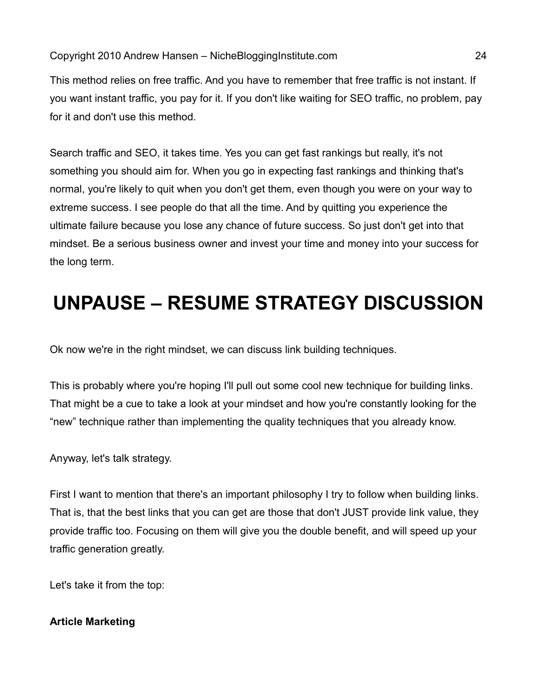This method relies on free traffic. And you have to remember that free traffic is not instant. If you want instant traffic, you pay for it. If you don't like waiting for SEO traffic, no problem, pay for it and don't use this method.

Search traffic and SEO, it takes time. Yes you can get fast rankings but really, it's not something you should aim for. When you go in expecting fast rankings and thinking that's normal, you're likely to quit when you don't get them, even though you were on your way to extreme success. I see people do that all the time. And by quitting you experience the ultimate failure because you lose any chance of future success. So just don't get into that mindset. Be a serious business owner and invest your time and money into your success for the long term.

## **UNPAUSE – RESUME STRATEGY DISCUSSION**

Ok now we're in the right mindset, we can discuss link building techniques.

This is probably where you're hoping I'll pull out some cool new technique for building links. That might be a cue to take a look at your mindset and how you're constantly looking for the "new" technique rather than implementing the quality techniques that you already know.

Anyway, let's talk strategy.

First I want to mention that there's an important philosophy I try to follow when building links. That is, that the best links that you can get are those that don't JUST provide link value, they provide traffic too. Focusing on them will give you the double benefit, and will speed up your traffic generation greatly.

Let's take it from the top:

#### **Article Marketing**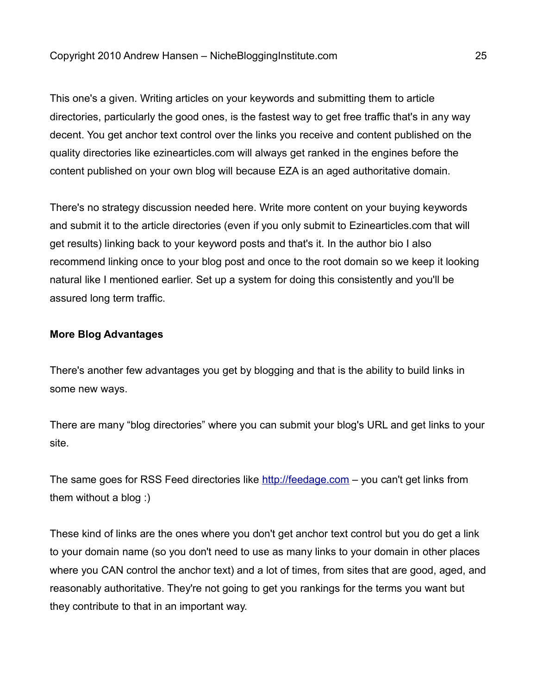This one's a given. Writing articles on your keywords and submitting them to article directories, particularly the good ones, is the fastest way to get free traffic that's in any way decent. You get anchor text control over the links you receive and content published on the quality directories like ezinearticles.com will always get ranked in the engines before the content published on your own blog will because EZA is an aged authoritative domain.

There's no strategy discussion needed here. Write more content on your buying keywords and submit it to the article directories (even if you only submit to Ezinearticles.com that will get results) linking back to your keyword posts and that's it. In the author bio I also recommend linking once to your blog post and once to the root domain so we keep it looking natural like I mentioned earlier. Set up a system for doing this consistently and you'll be assured long term traffic.

#### **More Blog Advantages**

There's another few advantages you get by blogging and that is the ability to build links in some new ways.

There are many "blog directories" where you can submit your blog's URL and get links to your site.

The same goes for RSS Feed directories like [http://feedage.com](http://feedage.com/) - you can't get links from them without a blog :)

These kind of links are the ones where you don't get anchor text control but you do get a link to your domain name (so you don't need to use as many links to your domain in other places where you CAN control the anchor text) and a lot of times, from sites that are good, aged, and reasonably authoritative. They're not going to get you rankings for the terms you want but they contribute to that in an important way.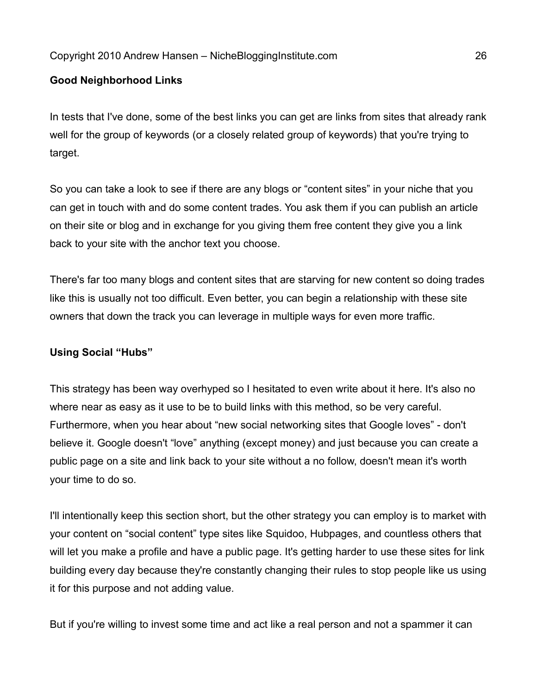#### **Good Neighborhood Links**

In tests that I've done, some of the best links you can get are links from sites that already rank well for the group of keywords (or a closely related group of keywords) that you're trying to target.

So you can take a look to see if there are any blogs or "content sites" in your niche that you can get in touch with and do some content trades. You ask them if you can publish an article on their site or blog and in exchange for you giving them free content they give you a link back to your site with the anchor text you choose.

There's far too many blogs and content sites that are starving for new content so doing trades like this is usually not too difficult. Even better, you can begin a relationship with these site owners that down the track you can leverage in multiple ways for even more traffic.

#### **Using Social "Hubs"**

This strategy has been way overhyped so I hesitated to even write about it here. It's also no where near as easy as it use to be to build links with this method, so be very careful. Furthermore, when you hear about "new social networking sites that Google loves" - don't believe it. Google doesn't "love" anything (except money) and just because you can create a public page on a site and link back to your site without a no follow, doesn't mean it's worth your time to do so.

I'll intentionally keep this section short, but the other strategy you can employ is to market with your content on "social content" type sites like Squidoo, Hubpages, and countless others that will let you make a profile and have a public page. It's getting harder to use these sites for link building every day because they're constantly changing their rules to stop people like us using it for this purpose and not adding value.

But if you're willing to invest some time and act like a real person and not a spammer it can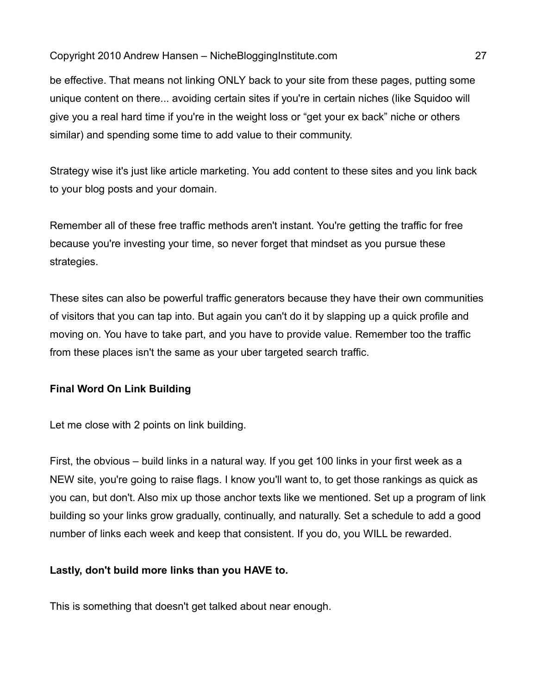be effective. That means not linking ONLY back to your site from these pages, putting some unique content on there... avoiding certain sites if you're in certain niches (like Squidoo will give you a real hard time if you're in the weight loss or "get your ex back" niche or others similar) and spending some time to add value to their community.

Strategy wise it's just like article marketing. You add content to these sites and you link back to your blog posts and your domain.

Remember all of these free traffic methods aren't instant. You're getting the traffic for free because you're investing your time, so never forget that mindset as you pursue these strategies.

These sites can also be powerful traffic generators because they have their own communities of visitors that you can tap into. But again you can't do it by slapping up a quick profile and moving on. You have to take part, and you have to provide value. Remember too the traffic from these places isn't the same as your uber targeted search traffic.

#### **Final Word On Link Building**

Let me close with 2 points on link building.

First, the obvious – build links in a natural way. If you get 100 links in your first week as a NEW site, you're going to raise flags. I know you'll want to, to get those rankings as quick as you can, but don't. Also mix up those anchor texts like we mentioned. Set up a program of link building so your links grow gradually, continually, and naturally. Set a schedule to add a good number of links each week and keep that consistent. If you do, you WILL be rewarded.

#### **Lastly, don't build more links than you HAVE to.**

This is something that doesn't get talked about near enough.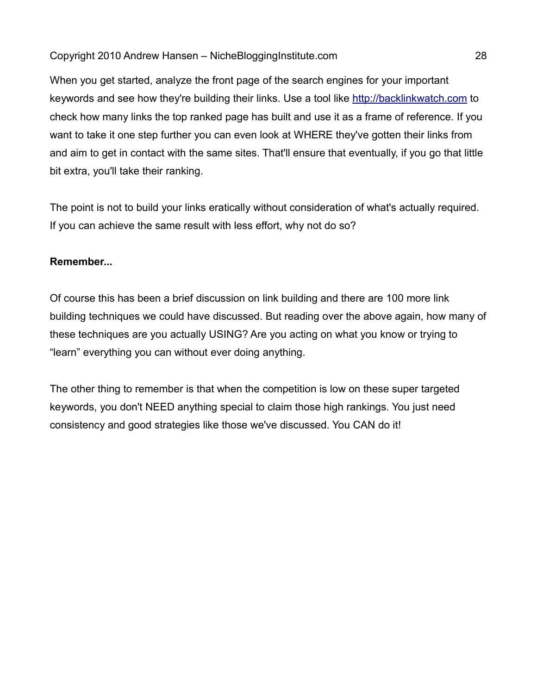When you get started, analyze the front page of the search engines for your important keywords and see how they're building their links. Use a tool like [http://backlinkwatch.com](http://backlinkwatch.com/) to check how many links the top ranked page has built and use it as a frame of reference. If you want to take it one step further you can even look at WHERE they've gotten their links from and aim to get in contact with the same sites. That'll ensure that eventually, if you go that little bit extra, you'll take their ranking.

The point is not to build your links eratically without consideration of what's actually required. If you can achieve the same result with less effort, why not do so?

#### **Remember...**

Of course this has been a brief discussion on link building and there are 100 more link building techniques we could have discussed. But reading over the above again, how many of these techniques are you actually USING? Are you acting on what you know or trying to "learn" everything you can without ever doing anything.

The other thing to remember is that when the competition is low on these super targeted keywords, you don't NEED anything special to claim those high rankings. You just need consistency and good strategies like those we've discussed. You CAN do it!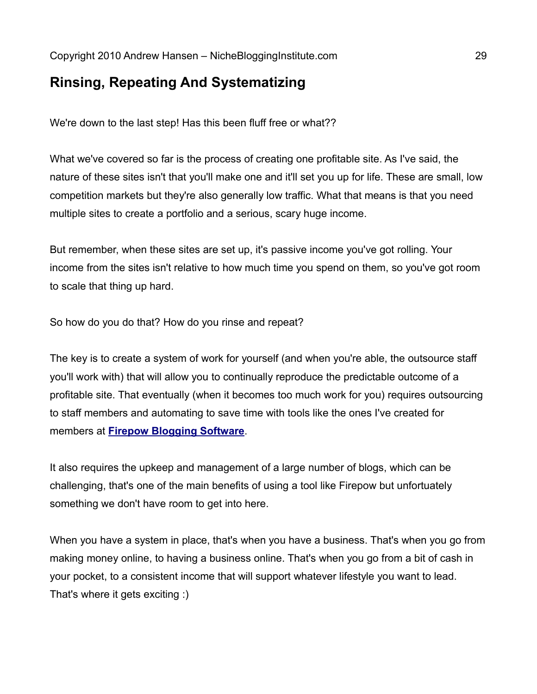## **Rinsing, Repeating And Systematizing**

We're down to the last step! Has this been fluff free or what??

What we've covered so far is the process of creating one profitable site. As I've said, the nature of these sites isn't that you'll make one and it'll set you up for life. These are small, low competition markets but they're also generally low traffic. What that means is that you need multiple sites to create a portfolio and a serious, scary huge income.

But remember, when these sites are set up, it's passive income you've got rolling. Your income from the sites isn't relative to how much time you spend on them, so you've got room to scale that thing up hard.

So how do you do that? How do you rinse and repeat?

The key is to create a system of work for yourself (and when you're able, the outsource staff you'll work with) that will allow you to continually reproduce the predictable outcome of a profitable site. That eventually (when it becomes too much work for you) requires outsourcing to staff members and automating to save time with tools like the ones I've created for members at **Firepow [Blogging Software](http://goo.gl/SuXWG)**.

It also requires the upkeep and management of a large number of blogs, which can be challenging, that's one of the main benefits of using a tool like Firepow but unfortuately something we don't have room to get into here.

When you have a system in place, that's when you have a business. That's when you go from making money online, to having a business online. That's when you go from a bit of cash in your pocket, to a consistent income that will support whatever lifestyle you want to lead. That's where it gets exciting :)